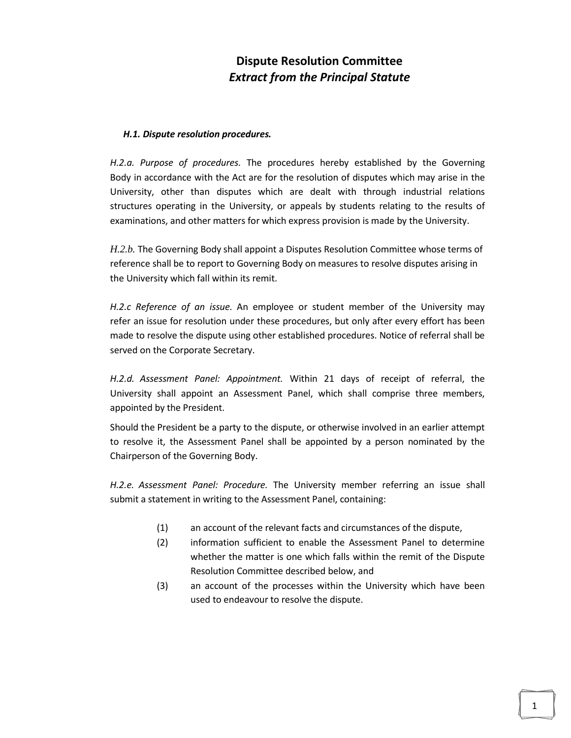## **Dispute Resolution Committee** *Extract from the Principal Statute*

## *H.1. Dispute resolution procedures.*

*H.2.a. Purpose of procedures.* The procedures hereby established by the Governing Body in accordance with the Act are for the resolution of disputes which may arise in the University, other than disputes which are dealt with through industrial relations structures operating in the University, or appeals by students relating to the results of examinations, and other matters for which express provision is made by the University.

*H.2.b.* The Governing Body shall appoint a Disputes Resolution Committee whose terms of reference shall be to report to Governing Body on measures to resolve disputes arising in the University which fall within its remit.

*H.2.c Reference of an issue.* An employee or student member of the University may refer an issue for resolution under these procedures, but only after every effort has been made to resolve the dispute using other established procedures. Notice of referral shall be served on the Corporate Secretary.

*H.2.d. Assessment Panel: Appointment.* Within 21 days of receipt of referral, the University shall appoint an Assessment Panel, which shall comprise three members, appointed by the President.

Should the President be a party to the dispute, or otherwise involved in an earlier attempt to resolve it, the Assessment Panel shall be appointed by a person nominated by the Chairperson of the Governing Body.

*H.2.e. Assessment Panel: Procedure.* The University member referring an issue shall submit a statement in writing to the Assessment Panel, containing:

- (1) an account of the relevant facts and circumstances of the dispute,
- (2) information sufficient to enable the Assessment Panel to determine whether the matter is one which falls within the remit of the Dispute Resolution Committee described below, and
- (3) an account of the processes within the University which have been used to endeavour to resolve the dispute.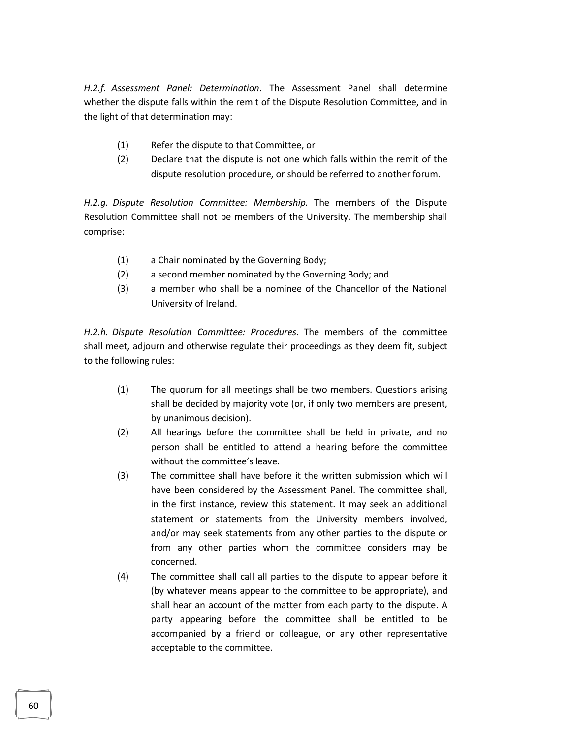*H.2.f. Assessment Panel: Determination*. The Assessment Panel shall determine whether the dispute falls within the remit of the Dispute Resolution Committee, and in the light of that determination may:

- (1) Refer the dispute to that Committee, or
- (2) Declare that the dispute is not one which falls within the remit of the dispute resolution procedure, or should be referred to another forum.

*H.2.g. Dispute Resolution Committee: Membership.* The members of the Dispute Resolution Committee shall not be members of the University. The membership shall comprise:

- (1) a Chair nominated by the Governing Body;
- (2) a second member nominated by the Governing Body; and
- (3) a member who shall be a nominee of the Chancellor of the National University of Ireland.

*H.2.h. Dispute Resolution Committee: Procedures.* The members of the committee shall meet, adjourn and otherwise regulate their proceedings as they deem fit, subject to the following rules:

- (1) The quorum for all meetings shall be two members. Questions arising shall be decided by majority vote (or, if only two members are present, by unanimous decision).
- (2) All hearings before the committee shall be held in private, and no person shall be entitled to attend a hearing before the committee without the committee's leave.
- (3) The committee shall have before it the written submission which will have been considered by the Assessment Panel. The committee shall, in the first instance, review this statement. It may seek an additional statement or statements from the University members involved, and/or may seek statements from any other parties to the dispute or from any other parties whom the committee considers may be concerned.
- (4) The committee shall call all parties to the dispute to appear before it (by whatever means appear to the committee to be appropriate), and shall hear an account of the matter from each party to the dispute. A party appearing before the committee shall be entitled to be accompanied by a friend or colleague, or any other representative acceptable to the committee.